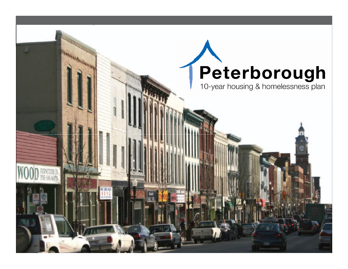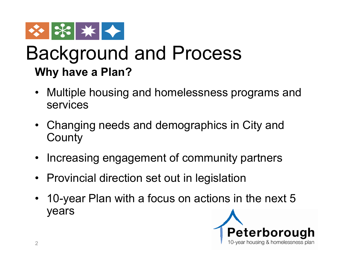

#### Background and Process **Why have a Plan?**

- Multiple housing and homelessness programs and services
- Changing needs and demographics in City and **County**
- Increasing engagement of community partners
- Provincial direction set out in legislation
- 10-year Plan with a focus on actions in the next 5 years

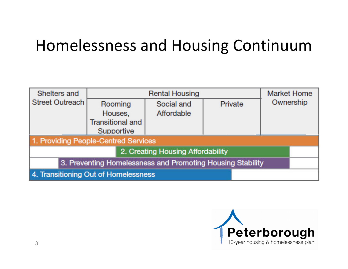#### Homelessness and Housing Continuum

| Shelters and                                               | <b>Rental Housing</b>   |            |         | <b>Market Home</b> |  |
|------------------------------------------------------------|-------------------------|------------|---------|--------------------|--|
| Street Outreach                                            | Rooming                 | Social and | Private | Ownership          |  |
|                                                            | Houses.                 | Affordable |         |                    |  |
|                                                            | <b>Transitional and</b> |            |         |                    |  |
|                                                            | Supportive              |            |         |                    |  |
| 1. Providing People-Centred Services                       |                         |            |         |                    |  |
| 2. Creating Housing Affordability                          |                         |            |         |                    |  |
| 3. Preventing Homelessness and Promoting Housing Stability |                         |            |         |                    |  |
| 4. Transitioning Out of Homelessness                       |                         |            |         |                    |  |

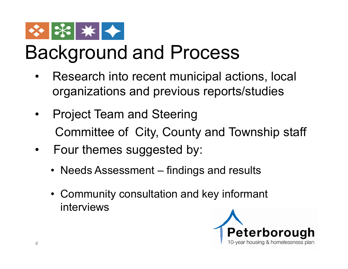

# Background and Process

- Research into recent municipal actions, local organizations and previous reports/studies
- Project Team and Steering Committee of City, County and Township staff
- Four themes suggested by:
	- Needs Assessment findings and results
	- Community consultation and key informant interviews

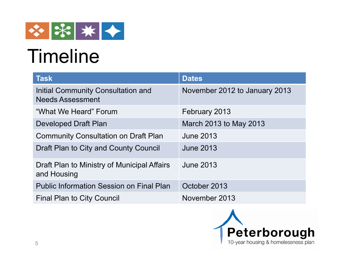

# **Timeline**

| <b>Task</b>                                                   | <b>Dates</b>                  |  |
|---------------------------------------------------------------|-------------------------------|--|
| Initial Community Consultation and<br><b>Needs Assessment</b> | November 2012 to January 2013 |  |
| "What We Heard" Forum                                         | February 2013                 |  |
| <b>Developed Draft Plan</b>                                   | March 2013 to May 2013        |  |
| <b>Community Consultation on Draft Plan</b>                   | <b>June 2013</b>              |  |
| Draft Plan to City and County Council                         | <b>June 2013</b>              |  |
| Draft Plan to Ministry of Municipal Affairs<br>and Housing    | <b>June 2013</b>              |  |
| <b>Public Information Session on Final Plan</b>               | October 2013                  |  |
| <b>Final Plan to City Council</b>                             | November 2013                 |  |

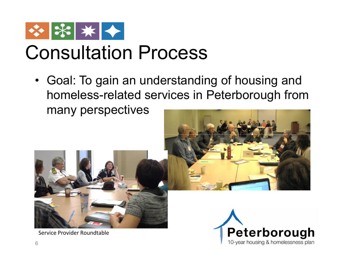

## Consultation Process

• Goal: To gain an understanding of housing and homeless-related services in Peterborough from many perspectives



Service Provider Roundtable



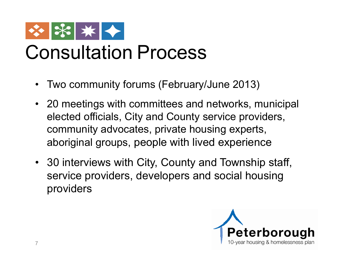

## Consultation Process

- Two community forums (February/June 2013)
- 20 meetings with committees and networks, municipal elected officials, City and County service providers, community advocates, private housing experts, aboriginal groups, people with lived experience
- 30 interviews with City, County and Township staff, service providers, developers and social housing providers

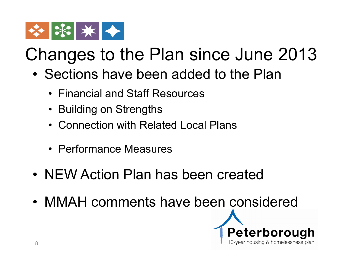

### Changes to the Plan since June 2013

- Sections have been added to the Plan
	- Financial and Staff Resources
	- Building on Strengths
	- Connection with Related Local Plans
	- Performance Measures
- NEW Action Plan has been created
- MMAH comments have been considered

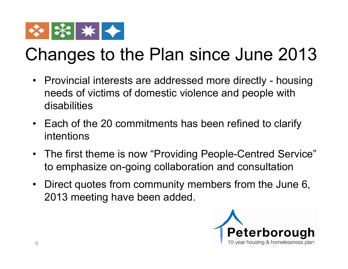

### Changes to the Plan since June 2013

- Provincial interests are addressed more directly housing needs of victims of domestic violence and people with disabilities
- Each of the 20 commitments has been refined to clarify intentions
- The first theme is now "Providing People-Centred Service" to emphasize on-going collaboration and consultation
- Direct quotes from community members from the June 6, 2013 meeting have been added.

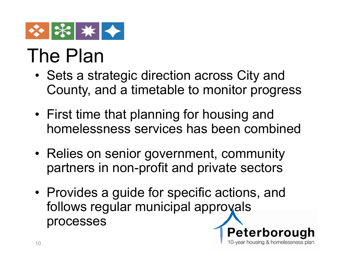

## The Plan

- Sets a strategic direction across City and County, and a timetable to monitor progress
- First time that planning for housing and homelessness services has been combined
- Relies on senior government, community partners in non-profit and private sectors
- Provides a guide for specific actions, and follows regular municipal approvals processes

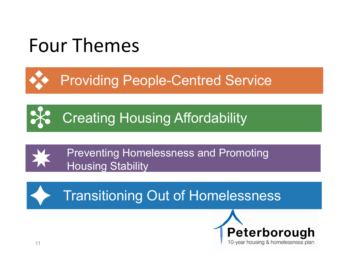# Four Themes

Providing People-Centred Service

**Creating Housing Affordability** 



Preventing Homelessness and Promoting Housing Stability

Transitioning Out of Homelessness

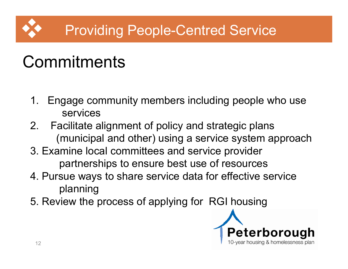#### Providing People-Centred Service

- 1. Engage community members including people who use services
- 2. Facilitate alignment of policy and strategic plans (municipal and other) using a service system approach
- 3. Examine local committees and service provider partnerships to ensure best use of resources
- 4. Pursue ways to share service data for effective service planning
- 5. Review the process of applying for RGI housing

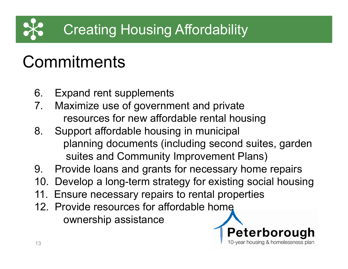#### Creating Housing Affordability

- 6. Expand rent supplements
- 7. Maximize use of government and private resources for new affordable rental housing
- 8. Support affordable housing in municipal planning documents (including second suites, garden suites and Community Improvement Plans)
- 9. Provide loans and grants for necessary home repairs
- 10. Develop a long-term strategy for existing social housing
- 11. Ensure necessary repairs to rental properties
- 12. Provide resources for affordable home ownership assistance

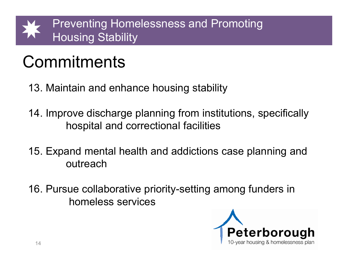

- 13. Maintain and enhance housing stability
- 14. Improve discharge planning from institutions, specifically hospital and correctional facilities
- 15. Expand mental health and addictions case planning and outreach
- 16. Pursue collaborative priority-setting among funders in homeless services

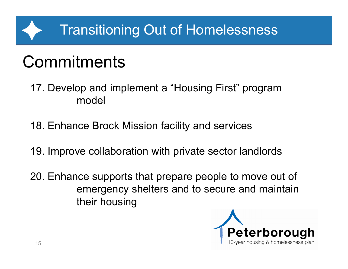#### Transitioning Out of Homelessness

- 17. Develop and implement a "Housing First" program model
- 18. Enhance Brock Mission facility and services
- 19. Improve collaboration with private sector landlords
- 20. Enhance supports that prepare people to move out of emergency shelters and to secure and maintain their housing

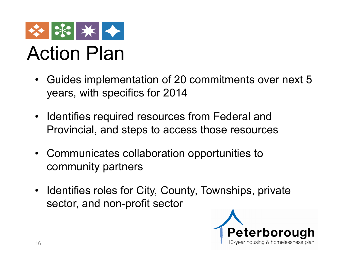

## Action Plan

- Guides implementation of 20 commitments over next 5 years, with specifics for 2014
- Identifies required resources from Federal and Provincial, and steps to access those resources
- Communicates collaboration opportunities to community partners
- Identifies roles for City, County, Townships, private sector, and non-profit sector